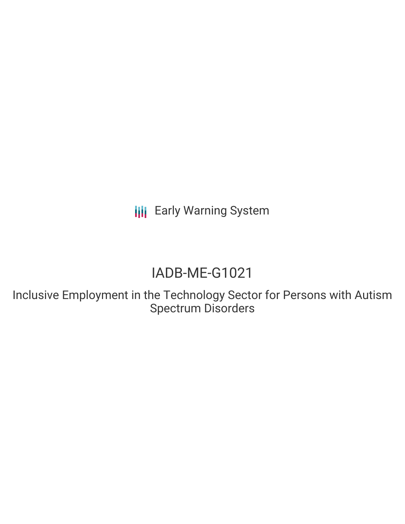**III** Early Warning System

# IADB-ME-G1021

Inclusive Employment in the Technology Sector for Persons with Autism Spectrum Disorders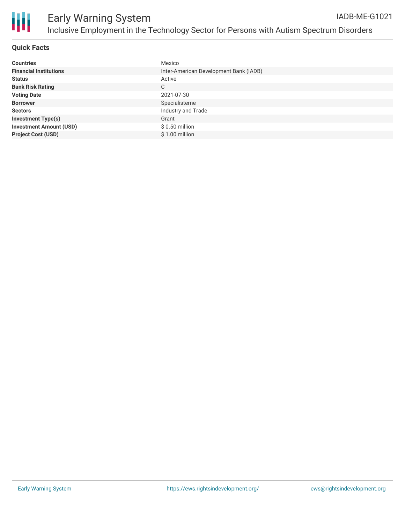

#### **Quick Facts**

| <b>Countries</b>               | Mexico                                 |
|--------------------------------|----------------------------------------|
| <b>Financial Institutions</b>  | Inter-American Development Bank (IADB) |
| <b>Status</b>                  | Active                                 |
| <b>Bank Risk Rating</b>        | C                                      |
| <b>Voting Date</b>             | 2021-07-30                             |
| <b>Borrower</b>                | Specialisterne                         |
| <b>Sectors</b>                 | Industry and Trade                     |
| <b>Investment Type(s)</b>      | Grant                                  |
| <b>Investment Amount (USD)</b> | $$0.50$ million                        |
| <b>Project Cost (USD)</b>      | \$1.00 million                         |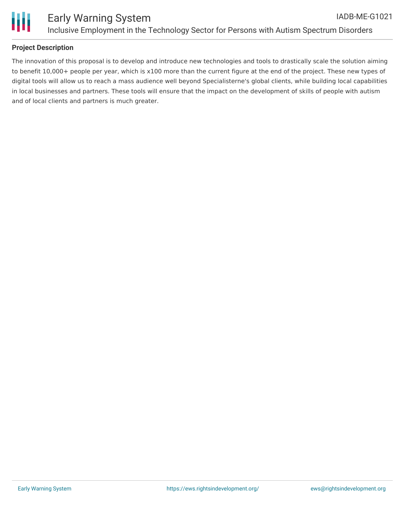

### **Project Description**

The innovation of this proposal is to develop and introduce new technologies and tools to drastically scale the solution aiming to benefit 10,000+ people per year, which is x100 more than the current figure at the end of the project. These new types of digital tools will allow us to reach a mass audience well beyond Specialisterne's global clients, while building local capabilities in local businesses and partners. These tools will ensure that the impact on the development of skills of people with autism and of local clients and partners is much greater.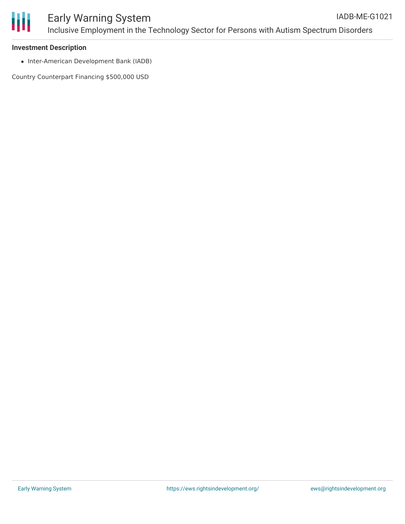

#### **Investment Description**

• Inter-American Development Bank (IADB)

Country Counterpart Financing \$500,000 USD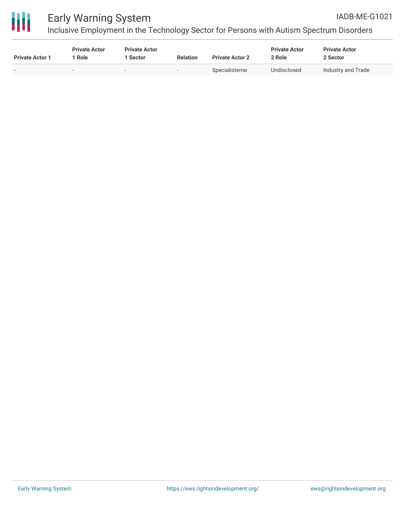

## Early Warning System

Inclusive Employment in the Technology Sector for Persons with Autism Spectrum Disorders

| <b>Private Actor 1</b> | <b>Private Actor</b><br>Role | <b>Private Actor</b><br>1 Sector | <b>Relation</b>          | <b>Private Actor 2</b> | <b>Private Actor</b><br>2 Role | <b>Private Actor</b><br>2 Sector |
|------------------------|------------------------------|----------------------------------|--------------------------|------------------------|--------------------------------|----------------------------------|
| -                      |                              | $\,$                             | $\overline{\phantom{0}}$ | Specialisterne         | Undisclosed                    | Industry and Trade               |